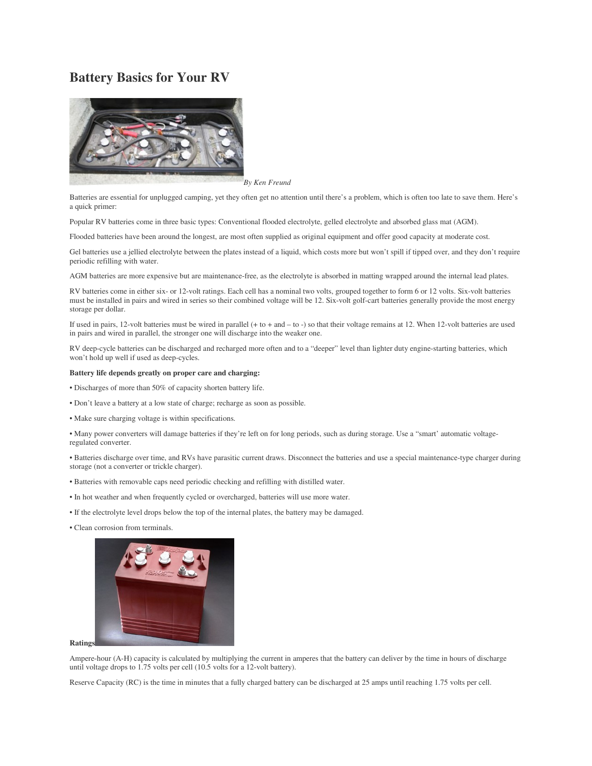## **Battery Basics for Your RV**



*By Ken Freund*

Batteries are essential for unplugged camping, yet they often get no attention until there's a problem, which is often too late to save them. Here's a quick primer:

Popular RV batteries come in three basic types: Conventional flooded electrolyte, gelled electrolyte and absorbed glass mat (AGM).

Flooded batteries have been around the longest, are most often supplied as original equipment and offer good capacity at moderate cost.

Gel batteries use a jellied electrolyte between the plates instead of a liquid, which costs more but won't spill if tipped over, and they don't require periodic refilling with water.

AGM batteries are more expensive but are maintenance-free, as the electrolyte is absorbed in matting wrapped around the internal lead plates.

RV batteries come in either six- or 12-volt ratings. Each cell has a nominal two volts, grouped together to form 6 or 12 volts. Six-volt batteries must be installed in pairs and wired in series so their combined voltage will be 12. Six-volt golf-cart batteries generally provide the most energy storage per dollar.

If used in pairs, 12-volt batteries must be wired in parallel (+ to + and – to -) so that their voltage remains at 12. When 12-volt batteries are used in pairs and wired in parallel, the stronger one will discharge into the weaker one.

RV deep-cycle batteries can be discharged and recharged more often and to a "deeper" level than lighter duty engine-starting batteries, which won't hold up well if used as deep-cycles.

## **Battery life depends greatly on proper care and charging:**

- Discharges of more than 50% of capacity shorten battery life.
- Don't leave a battery at a low state of charge; recharge as soon as possible.
- Make sure charging voltage is within specifications.

• Many power converters will damage batteries if they're left on for long periods, such as during storage. Use a "smart' automatic voltageregulated converter.

• Batteries discharge over time, and RVs have parasitic current draws. Disconnect the batteries and use a special maintenance-type charger during storage (not a converter or trickle charger).

- Batteries with removable caps need periodic checking and refilling with distilled water.
- In hot weather and when frequently cycled or overcharged, batteries will use more water.
- If the electrolyte level drops below the top of the internal plates, the battery may be damaged.
- Clean corrosion from terminals.



Ampere-hour (A-H) capacity is calculated by multiplying the current in amperes that the battery can deliver by the time in hours of discharge until voltage drops to 1.75 volts per cell (10.5 volts for a 12-volt battery).

Reserve Capacity (RC) is the time in minutes that a fully charged battery can be discharged at 25 amps until reaching 1.75 volts per cell.